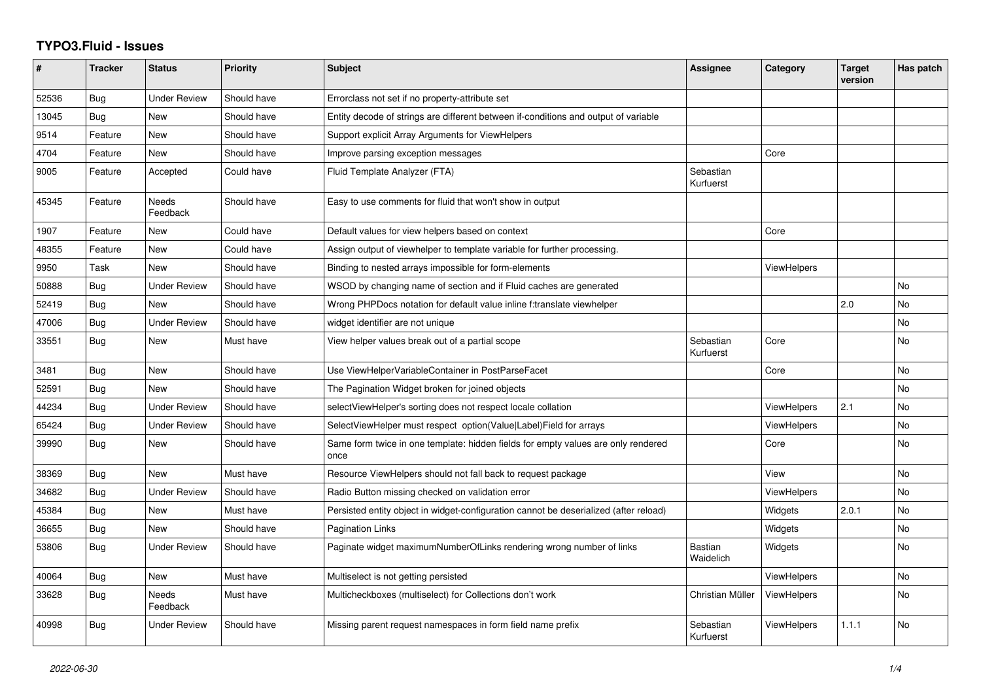## **TYPO3.Fluid - Issues**

| #     | <b>Tracker</b> | <b>Status</b>       | <b>Priority</b> | <b>Subject</b>                                                                            | Assignee                    | Category           | <b>Target</b><br>version | Has patch |
|-------|----------------|---------------------|-----------------|-------------------------------------------------------------------------------------------|-----------------------------|--------------------|--------------------------|-----------|
| 52536 | Bug            | <b>Under Review</b> | Should have     | Errorclass not set if no property-attribute set                                           |                             |                    |                          |           |
| 13045 | Bug            | New                 | Should have     | Entity decode of strings are different between if-conditions and output of variable       |                             |                    |                          |           |
| 9514  | Feature        | New                 | Should have     | Support explicit Array Arguments for ViewHelpers                                          |                             |                    |                          |           |
| 4704  | Feature        | <b>New</b>          | Should have     | Improve parsing exception messages                                                        |                             | Core               |                          |           |
| 9005  | Feature        | Accepted            | Could have      | Fluid Template Analyzer (FTA)                                                             | Sebastian<br>Kurfuerst      |                    |                          |           |
| 45345 | Feature        | Needs<br>Feedback   | Should have     | Easy to use comments for fluid that won't show in output                                  |                             |                    |                          |           |
| 1907  | Feature        | New                 | Could have      | Default values for view helpers based on context                                          |                             | Core               |                          |           |
| 48355 | Feature        | New                 | Could have      | Assign output of viewhelper to template variable for further processing.                  |                             |                    |                          |           |
| 9950  | Task           | <b>New</b>          | Should have     | Binding to nested arrays impossible for form-elements                                     |                             | <b>ViewHelpers</b> |                          |           |
| 50888 | Bug            | <b>Under Review</b> | Should have     | WSOD by changing name of section and if Fluid caches are generated                        |                             |                    |                          | <b>No</b> |
| 52419 | Bug            | New                 | Should have     | Wrong PHPDocs notation for default value inline f:translate viewhelper                    |                             |                    | 2.0                      | No        |
| 47006 | Bug            | <b>Under Review</b> | Should have     | widget identifier are not unique                                                          |                             |                    |                          | <b>No</b> |
| 33551 | Bug            | New                 | Must have       | View helper values break out of a partial scope                                           | Sebastian<br>Kurfuerst      | Core               |                          | <b>No</b> |
| 3481  | Bug            | <b>New</b>          | Should have     | Use ViewHelperVariableContainer in PostParseFacet                                         |                             | Core               |                          | <b>No</b> |
| 52591 | <b>Bug</b>     | New                 | Should have     | The Pagination Widget broken for joined objects                                           |                             |                    |                          | <b>No</b> |
| 44234 | Bug            | <b>Under Review</b> | Should have     | selectViewHelper's sorting does not respect locale collation                              |                             | <b>ViewHelpers</b> | 2.1                      | No        |
| 65424 | Bug            | <b>Under Review</b> | Should have     | SelectViewHelper must respect option(Value Label)Field for arrays                         |                             | ViewHelpers        |                          | <b>No</b> |
| 39990 | Bug            | New                 | Should have     | Same form twice in one template: hidden fields for empty values are only rendered<br>once |                             | Core               |                          | No        |
| 38369 | Bug            | New                 | Must have       | Resource ViewHelpers should not fall back to request package                              |                             | View               |                          | <b>No</b> |
| 34682 | Bug            | Under Review        | Should have     | Radio Button missing checked on validation error                                          |                             | <b>ViewHelpers</b> |                          | <b>No</b> |
| 45384 | Bug            | <b>New</b>          | Must have       | Persisted entity object in widget-configuration cannot be deserialized (after reload)     |                             | Widgets            | 2.0.1                    | <b>No</b> |
| 36655 | Bug            | New                 | Should have     | <b>Pagination Links</b>                                                                   |                             | Widgets            |                          | <b>No</b> |
| 53806 | Bug            | Under Review        | Should have     | Paginate widget maximumNumberOfLinks rendering wrong number of links                      | <b>Bastian</b><br>Waidelich | Widgets            |                          | <b>No</b> |
| 40064 | Bug            | <b>New</b>          | Must have       | Multiselect is not getting persisted                                                      |                             | ViewHelpers        |                          | <b>No</b> |
| 33628 | Bug            | Needs<br>Feedback   | Must have       | Multicheckboxes (multiselect) for Collections don't work                                  | Christian Müller            | ViewHelpers        |                          | No        |
| 40998 | Bug            | Under Review        | Should have     | Missing parent request namespaces in form field name prefix                               | Sebastian<br>Kurfuerst      | ViewHelpers        | 1.1.1                    | <b>No</b> |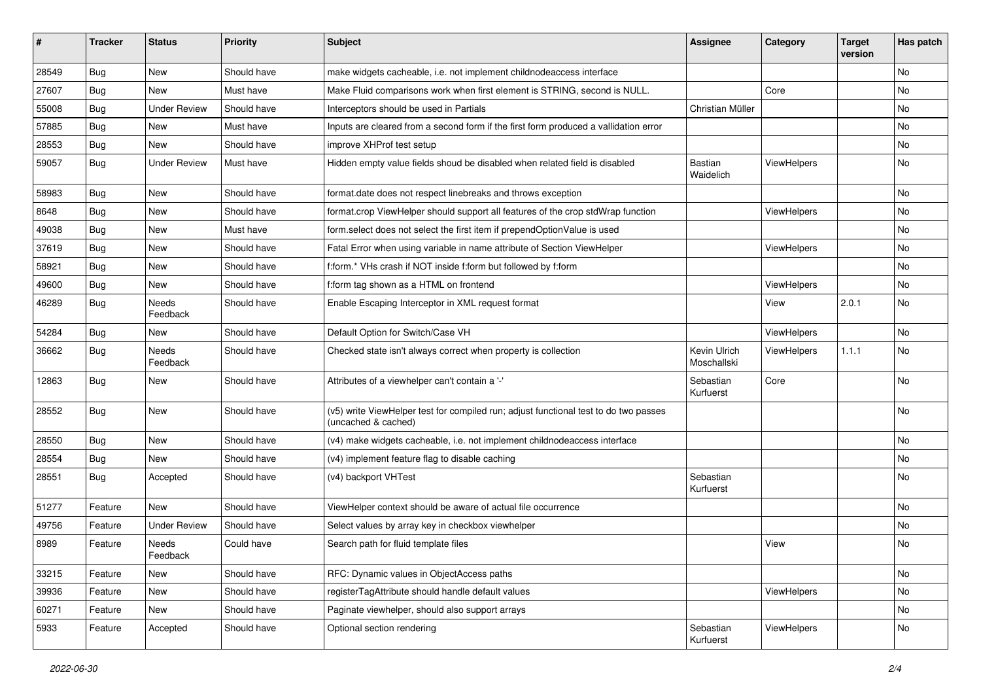| #     | <b>Tracker</b> | <b>Status</b>       | <b>Priority</b> | <b>Subject</b>                                                                                              | <b>Assignee</b>             | Category    | <b>Target</b><br>version | Has patch |
|-------|----------------|---------------------|-----------------|-------------------------------------------------------------------------------------------------------------|-----------------------------|-------------|--------------------------|-----------|
| 28549 | Bug            | New                 | Should have     | make widgets cacheable, i.e. not implement childnodeaccess interface                                        |                             |             |                          | <b>No</b> |
| 27607 | Bug            | New                 | Must have       | Make Fluid comparisons work when first element is STRING, second is NULL.                                   |                             | Core        |                          | No        |
| 55008 | Bug            | <b>Under Review</b> | Should have     | Interceptors should be used in Partials                                                                     | Christian Müller            |             |                          | No        |
| 57885 | Bug            | New                 | Must have       | Inputs are cleared from a second form if the first form produced a vallidation error                        |                             |             |                          | No        |
| 28553 | Bug            | New                 | Should have     | improve XHProf test setup                                                                                   |                             |             |                          | No        |
| 59057 | Bug            | <b>Under Review</b> | Must have       | Hidden empty value fields shoud be disabled when related field is disabled                                  | Bastian<br>Waidelich        | ViewHelpers |                          | No        |
| 58983 | Bug            | <b>New</b>          | Should have     | format.date does not respect linebreaks and throws exception                                                |                             |             |                          | <b>No</b> |
| 8648  | Bug            | New                 | Should have     | format.crop ViewHelper should support all features of the crop stdWrap function                             |                             | ViewHelpers |                          | No        |
| 49038 | Bug            | New                 | Must have       | form.select does not select the first item if prependOptionValue is used                                    |                             |             |                          | No        |
| 37619 | Bug            | New                 | Should have     | Fatal Error when using variable in name attribute of Section ViewHelper                                     |                             | ViewHelpers |                          | No        |
| 58921 | Bug            | New                 | Should have     | f:form.* VHs crash if NOT inside f:form but followed by f:form                                              |                             |             |                          | No        |
| 49600 | Bug            | New                 | Should have     | f:form tag shown as a HTML on frontend                                                                      |                             | ViewHelpers |                          | No        |
| 46289 | Bug            | Needs<br>Feedback   | Should have     | Enable Escaping Interceptor in XML request format                                                           |                             | View        | 2.0.1                    | No        |
| 54284 | Bug            | New                 | Should have     | Default Option for Switch/Case VH                                                                           |                             | ViewHelpers |                          | No        |
| 36662 | Bug            | Needs<br>Feedback   | Should have     | Checked state isn't always correct when property is collection                                              | Kevin Ulrich<br>Moschallski | ViewHelpers | 1.1.1                    | <b>No</b> |
| 12863 | Bug            | New                 | Should have     | Attributes of a viewhelper can't contain a '-'                                                              | Sebastian<br>Kurfuerst      | Core        |                          | No        |
| 28552 | Bug            | New                 | Should have     | (v5) write ViewHelper test for compiled run; adjust functional test to do two passes<br>(uncached & cached) |                             |             |                          | <b>No</b> |
| 28550 | Bug            | New                 | Should have     | (v4) make widgets cacheable, i.e. not implement childnodeaccess interface                                   |                             |             |                          | No        |
| 28554 | Bug            | New                 | Should have     | (v4) implement feature flag to disable caching                                                              |                             |             |                          | No        |
| 28551 | Bug            | Accepted            | Should have     | (v4) backport VHTest                                                                                        | Sebastian<br>Kurfuerst      |             |                          | No        |
| 51277 | Feature        | New                 | Should have     | ViewHelper context should be aware of actual file occurrence                                                |                             |             |                          | No        |
| 49756 | Feature        | <b>Under Review</b> | Should have     | Select values by array key in checkbox viewhelper                                                           |                             |             |                          | No        |
| 8989  | Feature        | Needs<br>Feedback   | Could have      | Search path for fluid template files                                                                        |                             | View        |                          | No        |
| 33215 | Feature        | New                 | Should have     | RFC: Dynamic values in ObjectAccess paths                                                                   |                             |             |                          | No        |
| 39936 | Feature        | New                 | Should have     | registerTagAttribute should handle default values                                                           |                             | ViewHelpers |                          | No        |
| 60271 | Feature        | New                 | Should have     | Paginate viewhelper, should also support arrays                                                             |                             |             |                          | No        |
| 5933  | Feature        | Accepted            | Should have     | Optional section rendering                                                                                  | Sebastian<br>Kurfuerst      | ViewHelpers |                          | No        |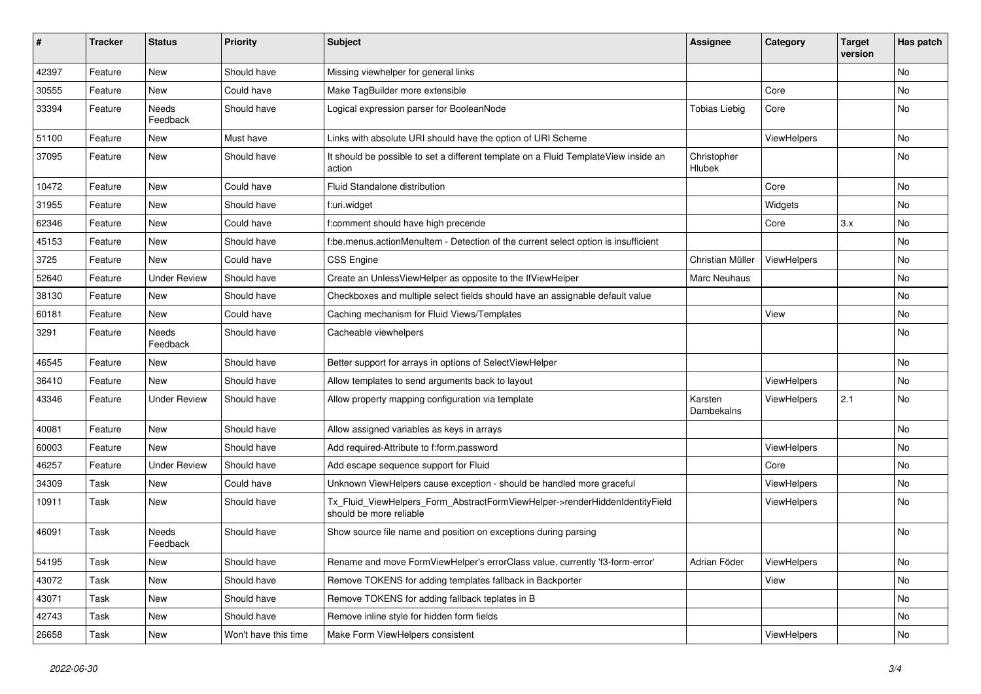| #     | <b>Tracker</b> | <b>Status</b>       | <b>Priority</b>      | <b>Subject</b>                                                                                         | <b>Assignee</b>       | Category    | <b>Target</b><br>version | Has patch |
|-------|----------------|---------------------|----------------------|--------------------------------------------------------------------------------------------------------|-----------------------|-------------|--------------------------|-----------|
| 42397 | Feature        | New                 | Should have          | Missing viewhelper for general links                                                                   |                       |             |                          | <b>No</b> |
| 30555 | Feature        | New                 | Could have           | Make TagBuilder more extensible                                                                        |                       | Core        |                          | No        |
| 33394 | Feature        | Needs<br>Feedback   | Should have          | Logical expression parser for BooleanNode                                                              | <b>Tobias Liebig</b>  | Core        |                          | No        |
| 51100 | Feature        | New                 | Must have            | Links with absolute URI should have the option of URI Scheme                                           |                       | ViewHelpers |                          | <b>No</b> |
| 37095 | Feature        | New                 | Should have          | It should be possible to set a different template on a Fluid TemplateView inside an<br>action          | Christopher<br>Hlubek |             |                          | No        |
| 10472 | Feature        | <b>New</b>          | Could have           | Fluid Standalone distribution                                                                          |                       | Core        |                          | No        |
| 31955 | Feature        | New                 | Should have          | f:uri.widget                                                                                           |                       | Widgets     |                          | No        |
| 62346 | Feature        | New                 | Could have           | f:comment should have high precende                                                                    |                       | Core        | 3.x                      | No        |
| 45153 | Feature        | New                 | Should have          | f:be.menus.actionMenuItem - Detection of the current select option is insufficient                     |                       |             |                          | No        |
| 3725  | Feature        | <b>New</b>          | Could have           | <b>CSS Engine</b>                                                                                      | Christian Müller      | ViewHelpers |                          | No        |
| 52640 | Feature        | <b>Under Review</b> | Should have          | Create an UnlessViewHelper as opposite to the IfViewHelper                                             | Marc Neuhaus          |             |                          | No        |
| 38130 | Feature        | New                 | Should have          | Checkboxes and multiple select fields should have an assignable default value                          |                       |             |                          | No        |
| 60181 | Feature        | New                 | Could have           | Caching mechanism for Fluid Views/Templates                                                            |                       | View        |                          | No        |
| 3291  | Feature        | Needs<br>Feedback   | Should have          | Cacheable viewhelpers                                                                                  |                       |             |                          | No        |
| 46545 | Feature        | New                 | Should have          | Better support for arrays in options of SelectViewHelper                                               |                       |             |                          | No        |
| 36410 | Feature        | <b>New</b>          | Should have          | Allow templates to send arguments back to layout                                                       |                       | ViewHelpers |                          | No        |
| 43346 | Feature        | <b>Under Review</b> | Should have          | Allow property mapping configuration via template                                                      | Karsten<br>Dambekalns | ViewHelpers | 2.1                      | No        |
| 40081 | Feature        | New                 | Should have          | Allow assigned variables as keys in arrays                                                             |                       |             |                          | No        |
| 60003 | Feature        | New                 | Should have          | Add required-Attribute to f:form.password                                                              |                       | ViewHelpers |                          | No        |
| 46257 | Feature        | <b>Under Review</b> | Should have          | Add escape sequence support for Fluid                                                                  |                       | Core        |                          | No        |
| 34309 | Task           | New                 | Could have           | Unknown ViewHelpers cause exception - should be handled more graceful                                  |                       | ViewHelpers |                          | No        |
| 10911 | Task           | New                 | Should have          | Tx Fluid ViewHelpers Form AbstractFormViewHelper->renderHiddenIdentityField<br>should be more reliable |                       | ViewHelpers |                          | <b>No</b> |
| 46091 | Task           | Needs<br>Feedback   | Should have          | Show source file name and position on exceptions during parsing                                        |                       |             |                          | No        |
| 54195 | Task           | New                 | Should have          | Rename and move FormViewHelper's errorClass value, currently 'f3-form-error'                           | Adrian Föder          | ViewHelpers |                          | No        |
| 43072 | Task           | New                 | Should have          | Remove TOKENS for adding templates fallback in Backporter                                              |                       | View        |                          | No        |
| 43071 | Task           | New                 | Should have          | Remove TOKENS for adding fallback teplates in B                                                        |                       |             |                          | No        |
| 42743 | Task           | New                 | Should have          | Remove inline style for hidden form fields                                                             |                       |             |                          | No        |
| 26658 | Task           | New                 | Won't have this time | Make Form ViewHelpers consistent                                                                       |                       | ViewHelpers |                          | No        |